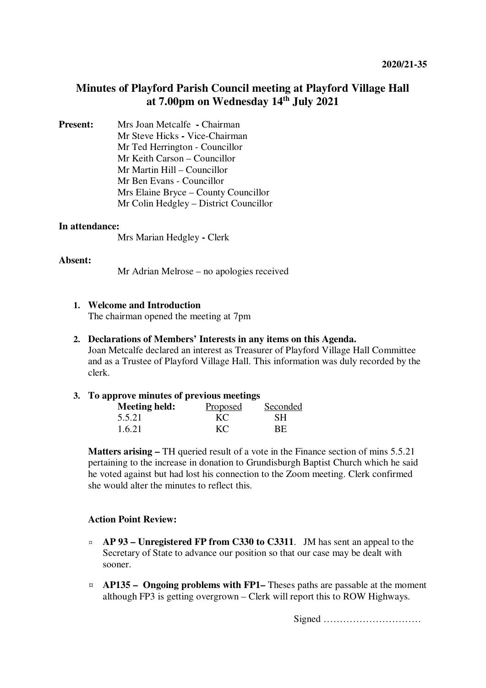# **Minutes of Playford Parish Council meeting at Playford Village Hall at 7.00pm on Wednesday 14th July 2021**

**Present:** Mrs Joan Metcalfe **- Chairman** Mr Steve Hicks **-** Vice-Chairman Mr Ted Herrington - Councillor Mr Keith Carson – Councillor Mr Martin Hill – Councillor Mr Ben Evans - Councillor Mrs Elaine Bryce – County Councillor Mr Colin Hedgley – District Councillor

#### **In attendance:**

Mrs Marian Hedgley **-** Clerk

#### **Absent:**

Mr Adrian Melrose – no apologies received

#### **1. Welcome and Introduction**

The chairman opened the meeting at 7pm

#### **2. Declarations of Members' Interests in any items on this Agenda.**

Joan Metcalfe declared an interest as Treasurer of Playford Village Hall Committee and as a Trustee of Playford Village Hall. This information was duly recorded by the clerk.

#### **3. To approve minutes of previous meetings**

| <b>Meeting held:</b> | Proposed | Seconded |
|----------------------|----------|----------|
| 5.5.21               | KС       | SН       |
| 1.6.21               | KС       | ВE       |

**Matters arising –** TH queried result of a vote in the Finance section of mins 5.5.21 pertaining to the increase in donation to Grundisburgh Baptist Church which he said he voted against but had lost his connection to the Zoom meeting. Clerk confirmed she would alter the minutes to reflect this.

# **Action Point Review:**

- ¤ **AP 93 Unregistered FP from C330 to C3311**. JM has sent an appeal to the Secretary of State to advance our position so that our case may be dealt with sooner.
- ¤ **AP135 Ongoing problems with FP1–** Theses paths are passable at the moment although FP3 is getting overgrown – Clerk will report this to ROW Highways.

Signed …………………………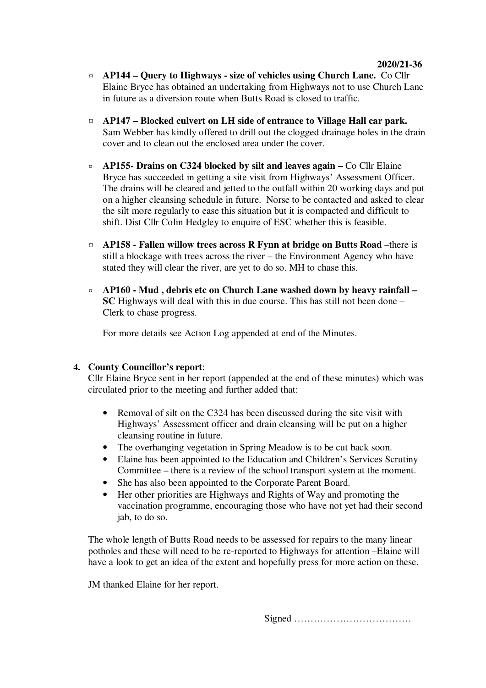- ¤ **AP144 Query to Highways size of vehicles using Church Lane.** Co Cllr Elaine Bryce has obtained an undertaking from Highways not to use Church Lane in future as a diversion route when Butts Road is closed to traffic.
- ¤ **AP147 Blocked culvert on LH side of entrance to Village Hall car park.** Sam Webber has kindly offered to drill out the clogged drainage holes in the drain cover and to clean out the enclosed area under the cover.
- ¤ **AP155- Drains on C324 blocked by silt and leaves again** Co Cllr Elaine Bryce has succeeded in getting a site visit from Highways' Assessment Officer. The drains will be cleared and jetted to the outfall within 20 working days and put on a higher cleansing schedule in future. Norse to be contacted and asked to clear the silt more regularly to ease this situation but it is compacted and difficult to shift. Dist Cllr Colin Hedgley to enquire of ESC whether this is feasible.
- ¤ **AP158 Fallen willow trees across R Fynn at bridge on Butts Road** –there is still a blockage with trees across the river – the Environment Agency who have stated they will clear the river, are yet to do so. MH to chase this.
- ¤ **AP160 Mud , debris etc on Church Lane washed down by heavy rainfall SC** Highways will deal with this in due course. This has still not been done – Clerk to chase progress.

For more details see Action Log appended at end of the Minutes.

# **4. County Councillor's report**:

Cllr Elaine Bryce sent in her report (appended at the end of these minutes) which was circulated prior to the meeting and further added that:

- Removal of silt on the C324 has been discussed during the site visit with Highways' Assessment officer and drain cleansing will be put on a higher cleansing routine in future.
- The overhanging vegetation in Spring Meadow is to be cut back soon.
- Elaine has been appointed to the Education and Children's Services Scrutiny Committee – there is a review of the school transport system at the moment.
- She has also been appointed to the Corporate Parent Board.
- Her other priorities are Highways and Rights of Way and promoting the vaccination programme, encouraging those who have not yet had their second jab, to do so.

The whole length of Butts Road needs to be assessed for repairs to the many linear potholes and these will need to be re-reported to Highways for attention –Elaine will have a look to get an idea of the extent and hopefully press for more action on these.

JM thanked Elaine for her report.

Signed ………………………………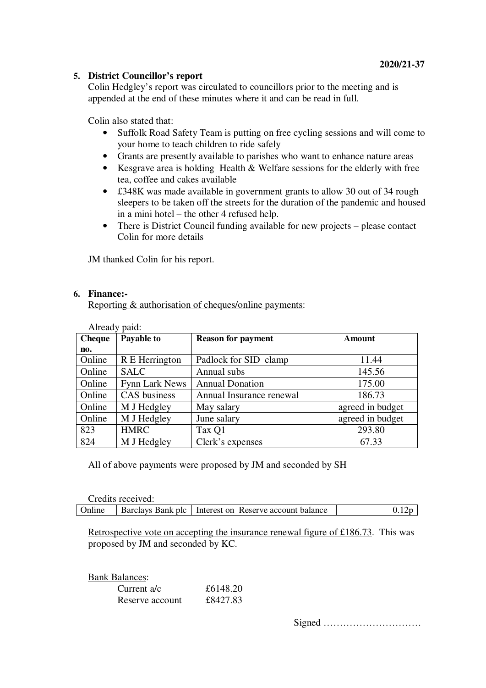# **5. District Councillor's report**

Colin Hedgley's report was circulated to councillors prior to the meeting and is appended at the end of these minutes where it and can be read in full.

Colin also stated that:

- Suffolk Road Safety Team is putting on free cycling sessions and will come to your home to teach children to ride safely
- Grants are presently available to parishes who want to enhance nature areas
- Kesgrave area is holding Health & Welfare sessions for the elderly with free tea, coffee and cakes available
- £348K was made available in government grants to allow 30 out of 34 rough sleepers to be taken off the streets for the duration of the pandemic and housed in a mini hotel – the other 4 refused help.
- There is District Council funding available for new projects please contact Colin for more details

JM thanked Colin for his report.

#### **6. Finance:-**

Reporting & authorisation of cheques/online payments:

| Already paid: |                |                           |                  |
|---------------|----------------|---------------------------|------------------|
| <b>Cheque</b> | Payable to     | <b>Reason for payment</b> | Amount           |
| no.           |                |                           |                  |
| Online        | R E Herrington | Padlock for SID clamp     | 11.44            |
| Online        | <b>SALC</b>    | Annual subs               | 145.56           |
| Online        | Fynn Lark News | <b>Annual Donation</b>    | 175.00           |
| Online        | CAS business   | Annual Insurance renewal  | 186.73           |
| Online        | M J Hedgley    | May salary                | agreed in budget |
| Online        | M J Hedgley    | June salary               | agreed in budget |
| 823           | <b>HMRC</b>    | Tax Q1                    | 293.80           |
| 824           | M J Hedgley    | Clerk's expenses          | 67.33            |

All of above payments were proposed by JM and seconded by SH

| Credits received: |                                                                |       |
|-------------------|----------------------------------------------------------------|-------|
|                   | Online Barclays Bank plc   Interest on Reserve account balance | 0.12p |

Retrospective vote on accepting the insurance renewal figure of £186.73. This was proposed by JM and seconded by KC.

| <b>Bank Balances:</b> |          |
|-----------------------|----------|
| Current a/c           | £6148.20 |
| Reserve account       | £8427.83 |

Signed …………………………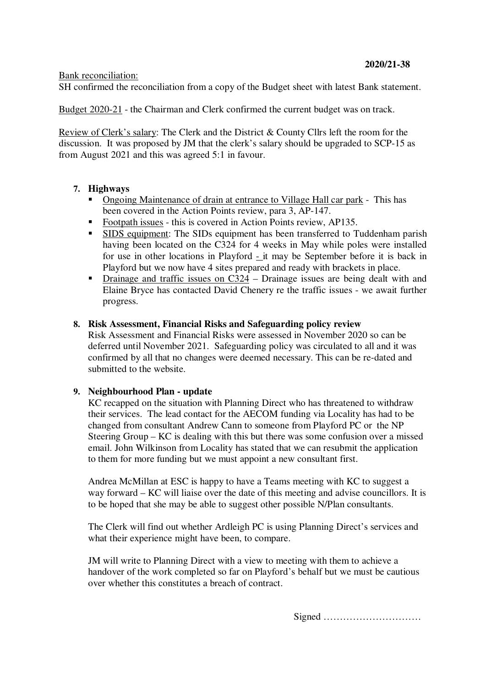#### Bank reconciliation:

SH confirmed the reconciliation from a copy of the Budget sheet with latest Bank statement.

Budget 2020-21 - the Chairman and Clerk confirmed the current budget was on track.

Review of Clerk's salary: The Clerk and the District & County Cllrs left the room for the discussion. It was proposed by JM that the clerk's salary should be upgraded to SCP-15 as from August 2021 and this was agreed 5:1 in favour.

# **7. Highways**

- Ongoing Maintenance of drain at entrance to Village Hall car park This has been covered in the Action Points review, para 3, AP-147.
- Footpath issues this is covered in Action Points review, AP135.
- **SIDS** equipment: The SIDs equipment has been transferred to Tuddenham parish having been located on the C324 for 4 weeks in May while poles were installed for use in other locations in Playford - it may be September before it is back in Playford but we now have 4 sites prepared and ready with brackets in place.
- Drainage and traffic issues on C324 Drainage issues are being dealt with and Elaine Bryce has contacted David Chenery re the traffic issues - we await further progress.

#### **8. Risk Assessment, Financial Risks and Safeguarding policy review**

Risk Assessment and Financial Risks were assessed in November 2020 so can be deferred until November 2021. Safeguarding policy was circulated to all and it was confirmed by all that no changes were deemed necessary. This can be re-dated and submitted to the website.

# **9. Neighbourhood Plan - update**

KC recapped on the situation with Planning Direct who has threatened to withdraw their services. The lead contact for the AECOM funding via Locality has had to be changed from consultant Andrew Cann to someone from Playford PC or the NP Steering Group – KC is dealing with this but there was some confusion over a missed email. John Wilkinson from Locality has stated that we can resubmit the application to them for more funding but we must appoint a new consultant first.

Andrea McMillan at ESC is happy to have a Teams meeting with KC to suggest a way forward – KC will liaise over the date of this meeting and advise councillors. It is to be hoped that she may be able to suggest other possible N/Plan consultants.

The Clerk will find out whether Ardleigh PC is using Planning Direct's services and what their experience might have been, to compare.

JM will write to Planning Direct with a view to meeting with them to achieve a handover of the work completed so far on Playford's behalf but we must be cautious over whether this constitutes a breach of contract.

Signed …………………………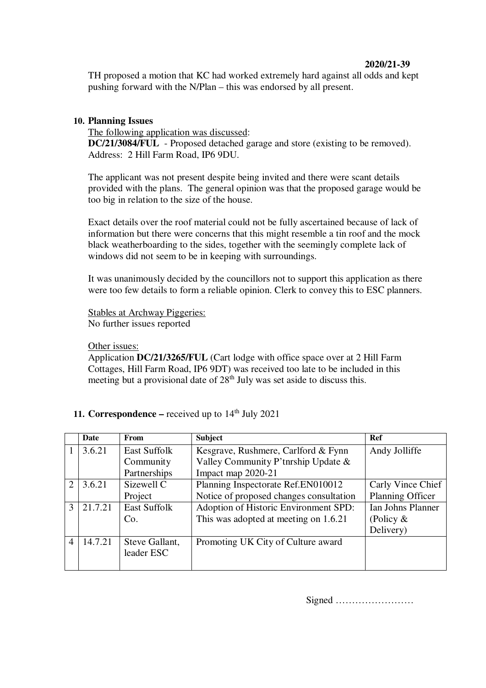# **2020/21-39**

TH proposed a motion that KC had worked extremely hard against all odds and kept pushing forward with the N/Plan – this was endorsed by all present.

# **10. Planning Issues**

The following application was discussed: **DC/21/3084/FUL** - Proposed detached garage and store (existing to be removed). Address: 2 Hill Farm Road, IP6 9DU.

The applicant was not present despite being invited and there were scant details provided with the plans. The general opinion was that the proposed garage would be too big in relation to the size of the house.

Exact details over the roof material could not be fully ascertained because of lack of information but there were concerns that this might resemble a tin roof and the mock black weatherboarding to the sides, together with the seemingly complete lack of windows did not seem to be in keeping with surroundings.

It was unanimously decided by the councillors not to support this application as there were too few details to form a reliable opinion. Clerk to convey this to ESC planners.

Stables at Archway Piggeries: No further issues reported

# Other issues:

Application **DC/21/3265/FUL** (Cart lodge with office space over at 2 Hill Farm Cottages, Hill Farm Road, IP6 9DT) was received too late to be included in this meeting but a provisional date of  $28<sup>th</sup>$  July was set aside to discuss this.

**11. Correspondence –** received up to  $14<sup>th</sup>$  July 2021

|                             | Date    | <b>From</b>                  | <b>Subject</b>                          | Ref               |
|-----------------------------|---------|------------------------------|-----------------------------------------|-------------------|
|                             | 3.6.21  | <b>East Suffolk</b>          | Kesgrave, Rushmere, Carlford & Fynn     | Andy Jolliffe     |
|                             |         | Community                    | Valley Community P'tnrship Update &     |                   |
|                             |         | Partnerships                 | Impact map 2020-21                      |                   |
| $\mathcal{D}_{\mathcal{L}}$ | 3.6.21  | Sizewell C                   | Planning Inspectorate Ref.EN010012      | Carly Vince Chief |
|                             |         | Project                      | Notice of proposed changes consultation | Planning Officer  |
| $\mathcal{R}$               | 21.7.21 | <b>East Suffolk</b>          | Adoption of Historic Environment SPD:   | Ian Johns Planner |
|                             |         | Co.                          | This was adopted at meeting on 1.6.21   | (Policy $&$       |
|                             |         |                              |                                         | Delivery)         |
|                             | 14.7.21 | Steve Gallant,<br>leader ESC | Promoting UK City of Culture award      |                   |

Signed ……………………